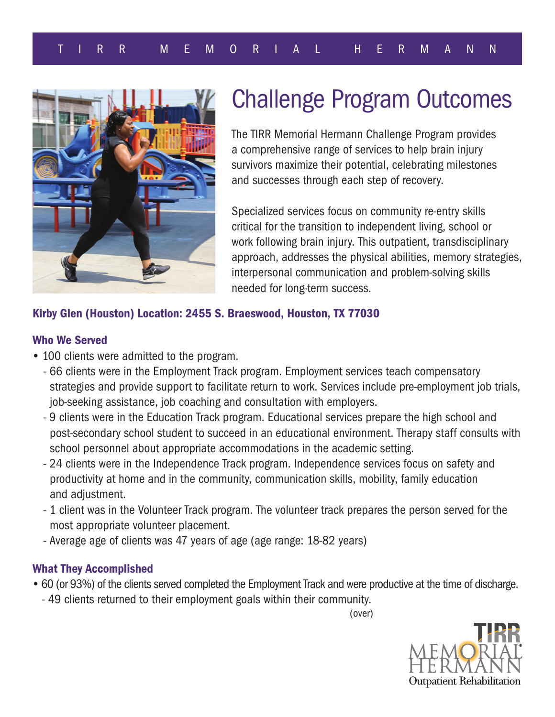

# Challenge Program Outcomes

The TIRR Memorial Hermann Challenge Program provides a comprehensive range of services to help brain injury survivors maximize their potential, celebrating milestones and successes through each step of recovery.

Specialized services focus on community re-entry skills critical for the transition to independent living, school or work following brain injury. This outpatient, transdisciplinary approach, addresses the physical abilities, memory strategies, interpersonal communication and problem-solving skills needed for long-term success.

# Kirby Glen (Houston) Location: 2455 S. Braeswood, Houston, TX 77030

# Who We Served

- 100 clients were admitted to the program.
	- 66 clients were in the Employment Track program. Employment services teach compensatory strategies and provide support to facilitate return to work. Services include pre-employment job trials, job-seeking assistance, job coaching and consultation with employers.
	- 9 clients were in the Education Track program. Educational services prepare the high school and post-secondary school student to succeed in an educational environment. Therapy staff consults with school personnel about appropriate accommodations in the academic setting.
	- 24 clients were in the Independence Track program. Independence services focus on safety and productivity at home and in the community, communication skills, mobility, family education and adjustment.
	- 1 client was in the Volunteer Track program. The volunteer track prepares the person served for the most appropriate volunteer placement.
	- Average age of clients was 47 years of age (age range: 18-82 years)

# What They Accomplished

- 60 (or 93%) of the clients served completed the Employment Track and were productive at the time of discharge.
	- 49 clients returned to their employment goals within their community.

(over)